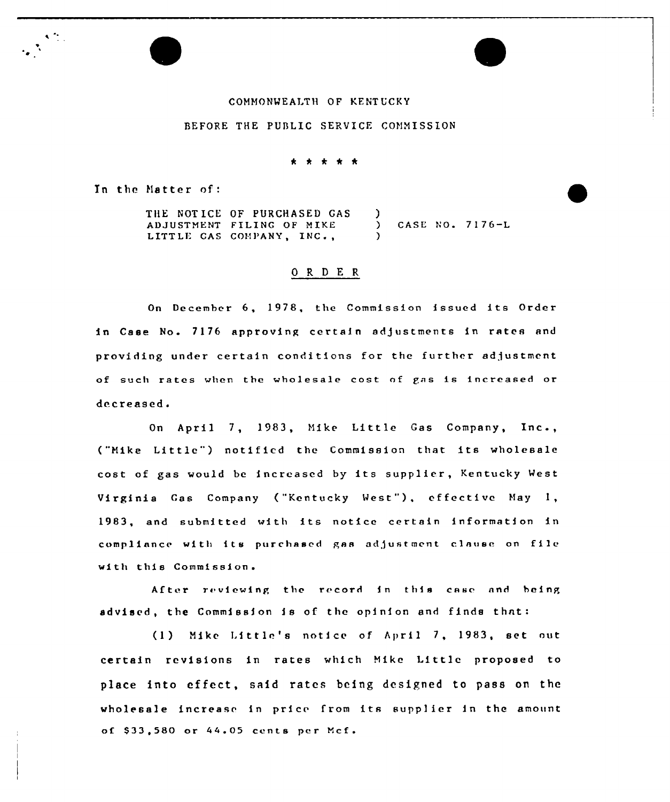## COMMONWEALTH OF KENTUCKY

## BEFORE THE PUBLIC SERVICE COMMISSION

\* \* \* \* \*

In the Matter of:

 $\mathcal{O}(\frac{2\pi}{\epsilon})$ 

THE NOTICE OF PURCHASED GAS ADJUSTMENT FILING OF MIKE LITTLE CAS COMPANY, INC., 3 CASE NO. 7176-L )

## 0 R <sup>D</sup> E <sup>R</sup>

On December 6, 1978, the Commission issued its Order in Case No. 7176 approving certain adjustments in rates and providing under certain conditions for the further adjustment of such rates when the wholesale cost of gas is increased or decreased.

On April 7, 1983, Mike Little Gas Company, Inc., ("Mike Little") notified the Commission that its wholesale cost of gas would be increased by its supplier, Kentucky West Virginia Gas Company ("Kentucky West"), effective May 1, 1983, and submitted with its notice certain information in compliance with its purchased gas adjustment clause on file with this Commission.

After re viewing the record in this case nnd being advised, the Commission is of the opinion and finds thnt:

(13 Mike l.ittlc's notice of April 7, 1983, set out certain revisions in rates which Hike Little proposed to place into effect, said rates being designed to pass on the wholesale increase in price from its supp1ier in the amount of \$33,580 or 44.05 cents per Mcf.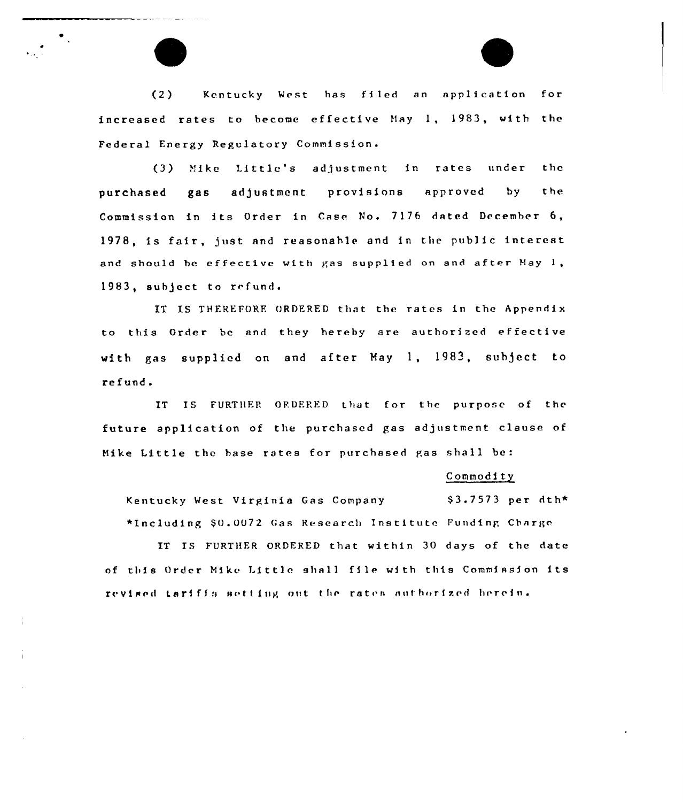(2) Kentucky West has filed an application for increased rates to become effective May 1, 1983, with the Federal Energy Regulatory Commission.

(3) Mike Little's adjustment in rates under the purchased gas adjustment provisions approved by the Commission in its Order in Case No. 7176 dated December 6, 1978, is fair, just and reasonable and in the public interest and should be effective with gas supplied on and after May  $1$ , 1983, subject to refund.

IT IS THEREFORF. ORDERED that the rates in the Appendix to this Order be and they hereby are authorized effective with gas supplied on and after May 1, 1983, subject to refund.

IT IS FURTHER ORDERED that for the purpose of the future application of the purchased gas adjustment clause of Mike Little the hase rates for purchased gas shall be:

#### Commodity

Kentucky West Virginia Gas Company \$3.7573 per dth\* \*Including \$0.0072 Gas Research Institute Funding Charge

IT IS FURTHER ORDERED that within 30 days of the date of this Order Mike Little shall file with this Commission its revised tariffs setting out the rates authorized herein.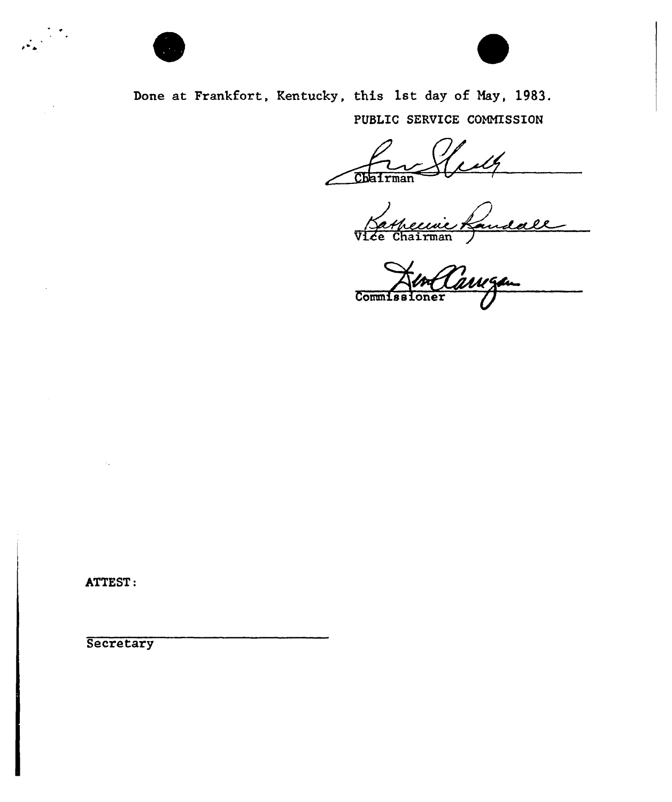

 $\label{eq:3.1} \frac{1}{\sqrt{2\pi}}\sum_{i=1}^{N} \frac{1}{\sqrt{2\pi}}\sum_{i=1}^{N} \frac{1}{\sqrt{2\pi}}\sum_{i=1}^{N} \frac{1}{\sqrt{2\pi}}\sum_{i=1}^{N} \frac{1}{\sqrt{2\pi}}\sum_{i=1}^{N} \frac{1}{\sqrt{2\pi}}\sum_{i=1}^{N} \frac{1}{\sqrt{2\pi}}\sum_{i=1}^{N} \frac{1}{\sqrt{2\pi}}\sum_{i=1}^{N} \frac{1}{\sqrt{2\pi}}\sum_{i=1}^{N} \frac{1}{\sqrt{2\pi}}\$ 



Done at Frankfort, Kentucky, this 1st day of May, 1983. PUBLIC SERVICE COMMISSION

Chairman

Vide Chairman

Co

ATTEST:

**Secretary**